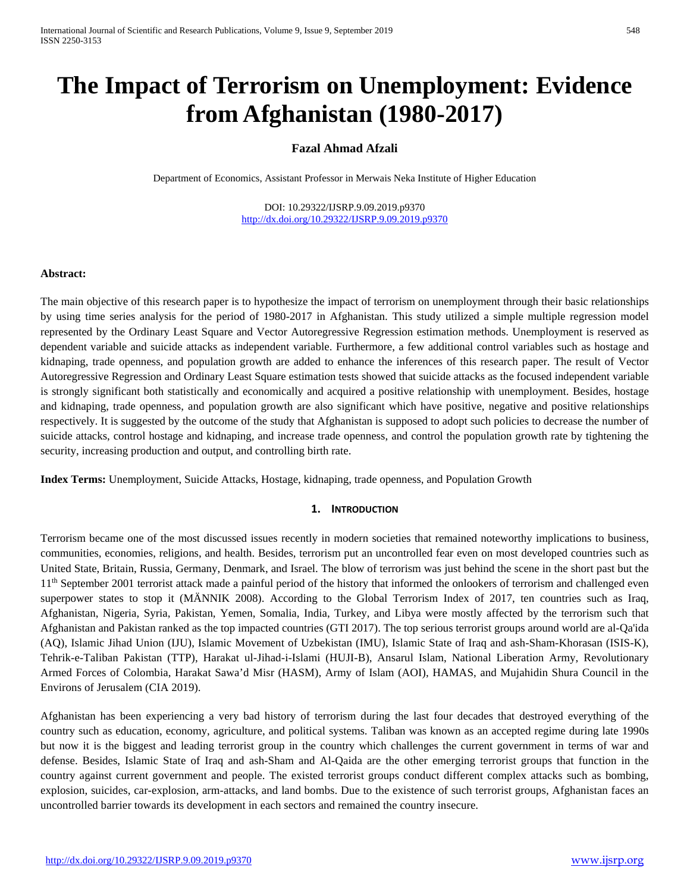# **The Impact of Terrorism on Unemployment: Evidence from Afghanistan (1980-2017)**

## **Fazal Ahmad Afzali**

Department of Economics, Assistant Professor in Merwais Neka Institute of Higher Education

DOI: 10.29322/IJSRP.9.09.2019.p9370 <http://dx.doi.org/10.29322/IJSRP.9.09.2019.p9370>

#### **Abstract:**

The main objective of this research paper is to hypothesize the impact of terrorism on unemployment through their basic relationships by using time series analysis for the period of 1980-2017 in Afghanistan. This study utilized a simple multiple regression model represented by the Ordinary Least Square and Vector Autoregressive Regression estimation methods. Unemployment is reserved as dependent variable and suicide attacks as independent variable. Furthermore, a few additional control variables such as hostage and kidnaping, trade openness, and population growth are added to enhance the inferences of this research paper. The result of Vector Autoregressive Regression and Ordinary Least Square estimation tests showed that suicide attacks as the focused independent variable is strongly significant both statistically and economically and acquired a positive relationship with unemployment. Besides, hostage and kidnaping, trade openness, and population growth are also significant which have positive, negative and positive relationships respectively. It is suggested by the outcome of the study that Afghanistan is supposed to adopt such policies to decrease the number of suicide attacks, control hostage and kidnaping, and increase trade openness, and control the population growth rate by tightening the security, increasing production and output, and controlling birth rate.

**Index Terms:** Unemployment, Suicide Attacks, Hostage, kidnaping, trade openness, and Population Growth

#### **1. INTRODUCTION**

Terrorism became one of the most discussed issues recently in modern societies that remained noteworthy implications to business, communities, economies, religions, and health. Besides, terrorism put an uncontrolled fear even on most developed countries such as United State, Britain, Russia, Germany, Denmark, and Israel. The blow of terrorism was just behind the scene in the short past but the 1<sup>th</sup> September 2001 terrorist attack made a painful period of the history that informed the onlookers of terrorism and challenged even superpower states to stop it (MÄNNIK 2008). According to the Global Terrorism Index of 2017, ten countries such as Iraq, Afghanistan, Nigeria, Syria, Pakistan, Yemen, Somalia, India, Turkey, and Libya were mostly affected by the terrorism such that Afghanistan and Pakistan ranked as the top impacted countries (GTI 2017). The top serious terrorist groups around world are al-Qa'ida (AQ), Islamic Jihad Union (IJU), Islamic Movement of Uzbekistan (IMU), Islamic State of Iraq and ash-Sham-Khorasan (ISIS-K), Tehrik-e-Taliban Pakistan (TTP), Harakat ul-Jihad-i-Islami (HUJI-B), Ansarul Islam, National Liberation Army, Revolutionary Armed Forces of Colombia, Harakat Sawa'd Misr (HASM), Army of Islam (AOI), HAMAS, and Mujahidin Shura Council in the Environs of Jerusalem (CIA 2019).

Afghanistan has been experiencing a very bad history of terrorism during the last four decades that destroyed everything of the country such as education, economy, agriculture, and political systems. Taliban was known as an accepted regime during late 1990s but now it is the biggest and leading terrorist group in the country which challenges the current government in terms of war and defense. Besides, Islamic State of Iraq and ash-Sham and Al-Qaida are the other emerging terrorist groups that function in the country against current government and people. The existed terrorist groups conduct different complex attacks such as bombing, explosion, suicides, car-explosion, arm-attacks, and land bombs. Due to the existence of such terrorist groups, Afghanistan faces an uncontrolled barrier towards its development in each sectors and remained the country insecure.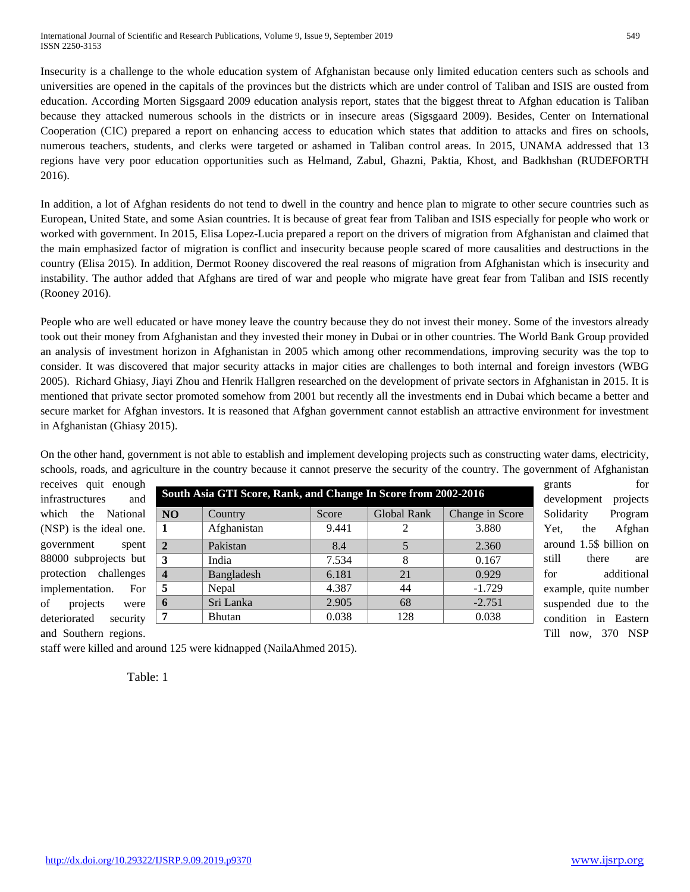Insecurity is a challenge to the whole education system of Afghanistan because only limited education centers such as schools and universities are opened in the capitals of the provinces but the districts which are under control of Taliban and ISIS are ousted from education. According Morten Sigsgaard 2009 education analysis report, states that the biggest threat to Afghan education is Taliban because they attacked numerous schools in the districts or in insecure areas (Sigsgaard 2009). Besides, Center on International Cooperation (CIC) prepared a report on enhancing access to education which states that addition to attacks and fires on schools, numerous teachers, students, and clerks were targeted or ashamed in Taliban control areas. In 2015, UNAMA addressed that 13 regions have very poor education opportunities such as Helmand, Zabul, Ghazni, Paktia, Khost, and Badkhshan (RUDEFORTH 2016).

In addition, a lot of Afghan residents do not tend to dwell in the country and hence plan to migrate to other secure countries such as European, United State, and some Asian countries. It is because of great fear from Taliban and ISIS especially for people who work or worked with government. In 2015, Elisa Lopez-Lucia prepared a report on the drivers of migration from Afghanistan and claimed that the main emphasized factor of migration is conflict and insecurity because people scared of more causalities and destructions in the country (Elisa 2015). In addition, Dermot Rooney discovered the real reasons of migration from Afghanistan which is insecurity and instability. The author added that Afghans are tired of war and people who migrate have great fear from Taliban and ISIS recently (Rooney 2016).

People who are well educated or have money leave the country because they do not invest their money. Some of the investors already took out their money from Afghanistan and they invested their money in Dubai or in other countries. The World Bank Group provided an analysis of investment horizon in Afghanistan in 2005 which among other recommendations, improving security was the top to consider. It was discovered that major security attacks in major cities are challenges to both internal and foreign investors (WBG 2005). Richard Ghiasy, Jiayi Zhou and Henrik Hallgren researched on the development of private sectors in Afghanistan in 2015. It is mentioned that private sector promoted somehow from 2001 but recently all the investments end in Dubai which became a better and secure market for Afghan investors. It is reasoned that Afghan government cannot establish an attractive environment for investment in Afghanistan (Ghiasy 2015).

On the other hand, government is not able to establish and implement developing projects such as constructing water dams, electricity, schools, roads, and agriculture in the country because it cannot preserve the security of the country. The government of Afghanistan

| receives quit enough     |                  |                                                                |       |             |                 | grants                  | for        |
|--------------------------|------------------|----------------------------------------------------------------|-------|-------------|-----------------|-------------------------|------------|
| infrastructures<br>and   |                  | South Asia GTI Score, Rank, and Change In Score from 2002-2016 |       |             |                 | development             | projects   |
| which the National       | NO               | Country                                                        | Score | Global Rank | Change in Score | Solidarity              | Program    |
| (NSP) is the ideal one.  |                  | Afghanistan                                                    | 9.441 |             | 3.880           | Yet.<br>the             | Afghan     |
| spent<br>government      | $\mathbf{2}$     | Pakistan                                                       | 8.4   |             | 2.360           | around 1.5\$ billion on |            |
| 88000 subprojects but    | 3                | India                                                          | 7.534 | 8           | 0.167           | there<br>still          | are        |
| protection challenges    | $\boldsymbol{4}$ | Bangladesh                                                     | 6.181 | 21          | 0.929           | for                     | additional |
| implementation.<br>For   | 5                | Nepal                                                          | 4.387 | 44          | $-1.729$        | example, quite number   |            |
| of<br>projects<br>were   | $\mathbf 0$      | Sri Lanka                                                      | 2.905 | 68          | $-2.751$        | suspended due to the    |            |
| deteriorated<br>security |                  | Bhutan                                                         | 0.038 | 128         | 0.038           | condition in Eastern    |            |
| and Southern regions.    |                  |                                                                |       |             |                 | Till now, 370 NSP       |            |

staff were killed and around 125 were kidnapped (NailaAhmed 2015).

Table: 1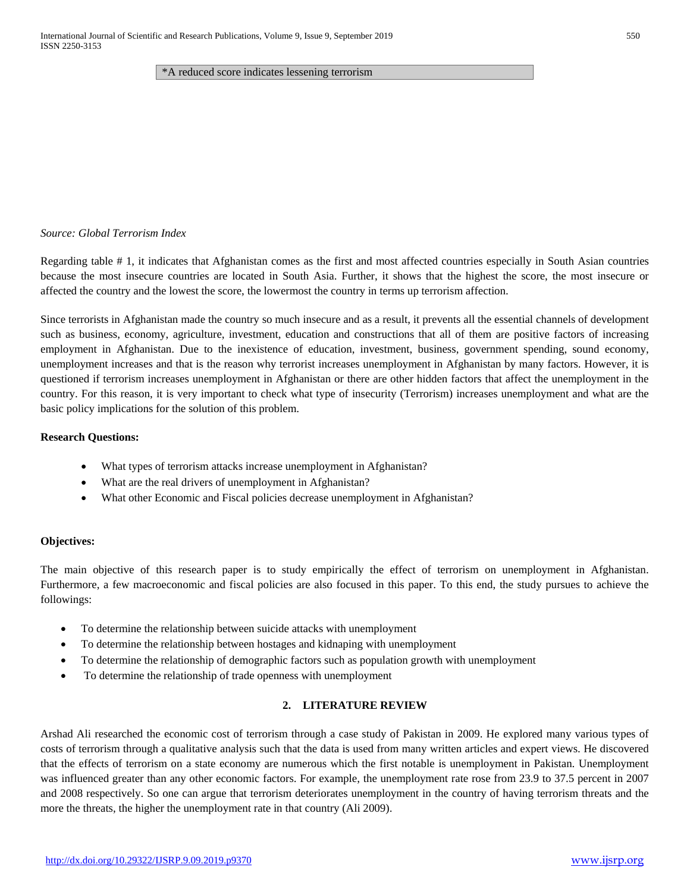\*A reduced score indicates lessening terrorism

#### *Source: Global Terrorism Index*

Regarding table # 1, it indicates that Afghanistan comes as the first and most affected countries especially in South Asian countries because the most insecure countries are located in South Asia. Further, it shows that the highest the score, the most insecure or affected the country and the lowest the score, the lowermost the country in terms up terrorism affection.

Since terrorists in Afghanistan made the country so much insecure and as a result, it prevents all the essential channels of development such as business, economy, agriculture, investment, education and constructions that all of them are positive factors of increasing employment in Afghanistan. Due to the inexistence of education, investment, business, government spending, sound economy, unemployment increases and that is the reason why terrorist increases unemployment in Afghanistan by many factors. However, it is questioned if terrorism increases unemployment in Afghanistan or there are other hidden factors that affect the unemployment in the country. For this reason, it is very important to check what type of insecurity (Terrorism) increases unemployment and what are the basic policy implications for the solution of this problem.

#### **Research Questions:**

- What types of terrorism attacks increase unemployment in Afghanistan?
- What are the real drivers of unemployment in Afghanistan?
- What other Economic and Fiscal policies decrease unemployment in Afghanistan?

#### **Objectives:**

The main objective of this research paper is to study empirically the effect of terrorism on unemployment in Afghanistan. Furthermore, a few macroeconomic and fiscal policies are also focused in this paper. To this end, the study pursues to achieve the followings:

- To determine the relationship between suicide attacks with unemployment
- To determine the relationship between hostages and kidnaping with unemployment
- To determine the relationship of demographic factors such as population growth with unemployment
- To determine the relationship of trade openness with unemployment

#### **2. LITERATURE REVIEW**

Arshad Ali researched the economic cost of terrorism through a case study of Pakistan in 2009. He explored many various types of costs of terrorism through a qualitative analysis such that the data is used from many written articles and expert views. He discovered that the effects of terrorism on a state economy are numerous which the first notable is unemployment in Pakistan. Unemployment was influenced greater than any other economic factors. For example, the unemployment rate rose from 23.9 to 37.5 percent in 2007 and 2008 respectively. So one can argue that terrorism deteriorates unemployment in the country of having terrorism threats and the more the threats, the higher the unemployment rate in that country (Ali 2009).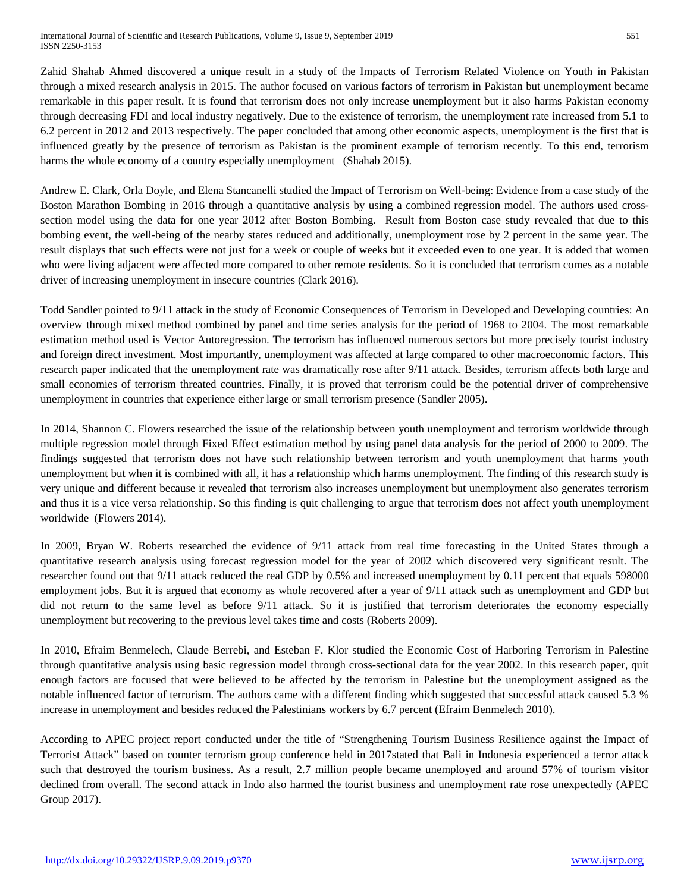Zahid Shahab Ahmed discovered a unique result in a study of the Impacts of Terrorism Related Violence on Youth in Pakistan through a mixed research analysis in 2015. The author focused on various factors of terrorism in Pakistan but unemployment became remarkable in this paper result. It is found that terrorism does not only increase unemployment but it also harms Pakistan economy through decreasing FDI and local industry negatively. Due to the existence of terrorism, the unemployment rate increased from 5.1 to 6.2 percent in 2012 and 2013 respectively. The paper concluded that among other economic aspects, unemployment is the first that is influenced greatly by the presence of terrorism as Pakistan is the prominent example of terrorism recently. To this end, terrorism harms the whole economy of a country especially unemployment (Shahab 2015).

Andrew E. Clark, Orla Doyle, and Elena Stancanelli studied the Impact of Terrorism on Well-being: Evidence from a case study of the Boston Marathon Bombing in 2016 through a quantitative analysis by using a combined regression model. The authors used crosssection model using the data for one year 2012 after Boston Bombing. Result from Boston case study revealed that due to this bombing event, the well-being of the nearby states reduced and additionally, unemployment rose by 2 percent in the same year. The result displays that such effects were not just for a week or couple of weeks but it exceeded even to one year. It is added that women who were living adjacent were affected more compared to other remote residents. So it is concluded that terrorism comes as a notable driver of increasing unemployment in insecure countries (Clark 2016).

Todd Sandler pointed to 9/11 attack in the study of Economic Consequences of Terrorism in Developed and Developing countries: An overview through mixed method combined by panel and time series analysis for the period of 1968 to 2004. The most remarkable estimation method used is Vector Autoregression. The terrorism has influenced numerous sectors but more precisely tourist industry and foreign direct investment. Most importantly, unemployment was affected at large compared to other macroeconomic factors. This research paper indicated that the unemployment rate was dramatically rose after 9/11 attack. Besides, terrorism affects both large and small economies of terrorism threated countries. Finally, it is proved that terrorism could be the potential driver of comprehensive unemployment in countries that experience either large or small terrorism presence (Sandler 2005).

In 2014, Shannon C. Flowers researched the issue of the relationship between youth unemployment and terrorism worldwide through multiple regression model through Fixed Effect estimation method by using panel data analysis for the period of 2000 to 2009. The findings suggested that terrorism does not have such relationship between terrorism and youth unemployment that harms youth unemployment but when it is combined with all, it has a relationship which harms unemployment. The finding of this research study is very unique and different because it revealed that terrorism also increases unemployment but unemployment also generates terrorism and thus it is a vice versa relationship. So this finding is quit challenging to argue that terrorism does not affect youth unemployment worldwide (Flowers 2014).

In 2009, Bryan W. Roberts researched the evidence of 9/11 attack from real time forecasting in the United States through a quantitative research analysis using forecast regression model for the year of 2002 which discovered very significant result. The researcher found out that 9/11 attack reduced the real GDP by 0.5% and increased unemployment by 0.11 percent that equals 598000 employment jobs. But it is argued that economy as whole recovered after a year of 9/11 attack such as unemployment and GDP but did not return to the same level as before 9/11 attack. So it is justified that terrorism deteriorates the economy especially unemployment but recovering to the previous level takes time and costs (Roberts 2009).

In 2010, Efraim Benmelech, Claude Berrebi, and Esteban F. Klor studied the Economic Cost of Harboring Terrorism in Palestine through quantitative analysis using basic regression model through cross-sectional data for the year 2002. In this research paper, quit enough factors are focused that were believed to be affected by the terrorism in Palestine but the unemployment assigned as the notable influenced factor of terrorism. The authors came with a different finding which suggested that successful attack caused 5.3 % increase in unemployment and besides reduced the Palestinians workers by 6.7 percent (Efraim Benmelech 2010).

According to APEC project report conducted under the title of "Strengthening Tourism Business Resilience against the Impact of Terrorist Attack" based on counter terrorism group conference held in 2017stated that Bali in Indonesia experienced a terror attack such that destroyed the tourism business. As a result, 2.7 million people became unemployed and around 57% of tourism visitor declined from overall. The second attack in Indo also harmed the tourist business and unemployment rate rose unexpectedly (APEC Group 2017).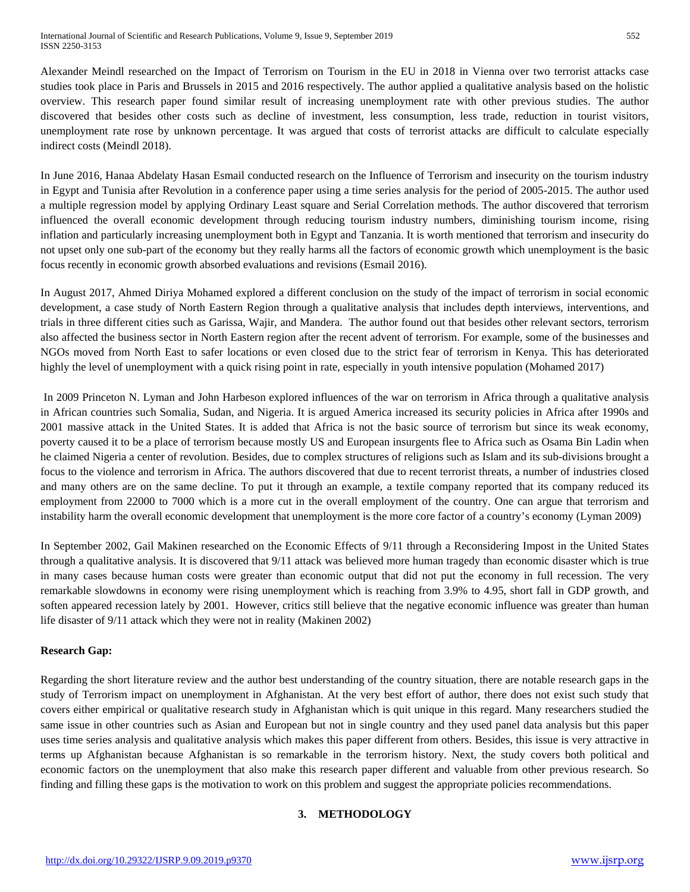Alexander Meindl researched on the Impact of Terrorism on Tourism in the EU in 2018 in Vienna over two terrorist attacks case studies took place in Paris and Brussels in 2015 and 2016 respectively. The author applied a qualitative analysis based on the holistic overview. This research paper found similar result of increasing unemployment rate with other previous studies. The author discovered that besides other costs such as decline of investment, less consumption, less trade, reduction in tourist visitors, unemployment rate rose by unknown percentage. It was argued that costs of terrorist attacks are difficult to calculate especially indirect costs (Meindl 2018).

In June 2016, Hanaa Abdelaty Hasan Esmail conducted research on the Influence of Terrorism and insecurity on the tourism industry in Egypt and Tunisia after Revolution in a conference paper using a time series analysis for the period of 2005-2015. The author used a multiple regression model by applying Ordinary Least square and Serial Correlation methods. The author discovered that terrorism influenced the overall economic development through reducing tourism industry numbers, diminishing tourism income, rising inflation and particularly increasing unemployment both in Egypt and Tanzania. It is worth mentioned that terrorism and insecurity do not upset only one sub-part of the economy but they really harms all the factors of economic growth which unemployment is the basic focus recently in economic growth absorbed evaluations and revisions (Esmail 2016).

In August 2017, Ahmed Diriya Mohamed explored a different conclusion on the study of the impact of terrorism in social economic development, a case study of North Eastern Region through a qualitative analysis that includes depth interviews, interventions, and trials in three different cities such as Garissa, Wajir, and Mandera. The author found out that besides other relevant sectors, terrorism also affected the business sector in North Eastern region after the recent advent of terrorism. For example, some of the businesses and NGOs moved from North East to safer locations or even closed due to the strict fear of terrorism in Kenya. This has deteriorated highly the level of unemployment with a quick rising point in rate, especially in youth intensive population (Mohamed 2017)

In 2009 Princeton N. Lyman and John Harbeson explored influences of the war on terrorism in Africa through a qualitative analysis in African countries such Somalia, Sudan, and Nigeria. It is argued America increased its security policies in Africa after 1990s and 2001 massive attack in the United States. It is added that Africa is not the basic source of terrorism but since its weak economy, poverty caused it to be a place of terrorism because mostly US and European insurgents flee to Africa such as Osama Bin Ladin when he claimed Nigeria a center of revolution. Besides, due to complex structures of religions such as Islam and its sub-divisions brought a focus to the violence and terrorism in Africa. The authors discovered that due to recent terrorist threats, a number of industries closed and many others are on the same decline. To put it through an example, a textile company reported that its company reduced its employment from 22000 to 7000 which is a more cut in the overall employment of the country. One can argue that terrorism and instability harm the overall economic development that unemployment is the more core factor of a country's economy (Lyman 2009)

In September 2002, Gail Makinen researched on the Economic Effects of 9/11 through a Reconsidering Impost in the United States through a qualitative analysis. It is discovered that 9/11 attack was believed more human tragedy than economic disaster which is true in many cases because human costs were greater than economic output that did not put the economy in full recession. The very remarkable slowdowns in economy were rising unemployment which is reaching from 3.9% to 4.95, short fall in GDP growth, and soften appeared recession lately by 2001. However, critics still believe that the negative economic influence was greater than human life disaster of 9/11 attack which they were not in reality (Makinen 2002)

#### **Research Gap:**

Regarding the short literature review and the author best understanding of the country situation, there are notable research gaps in the study of Terrorism impact on unemployment in Afghanistan. At the very best effort of author, there does not exist such study that covers either empirical or qualitative research study in Afghanistan which is quit unique in this regard. Many researchers studied the same issue in other countries such as Asian and European but not in single country and they used panel data analysis but this paper uses time series analysis and qualitative analysis which makes this paper different from others. Besides, this issue is very attractive in terms up Afghanistan because Afghanistan is so remarkable in the terrorism history. Next, the study covers both political and economic factors on the unemployment that also make this research paper different and valuable from other previous research. So finding and filling these gaps is the motivation to work on this problem and suggest the appropriate policies recommendations.

### **3. METHODOLOGY**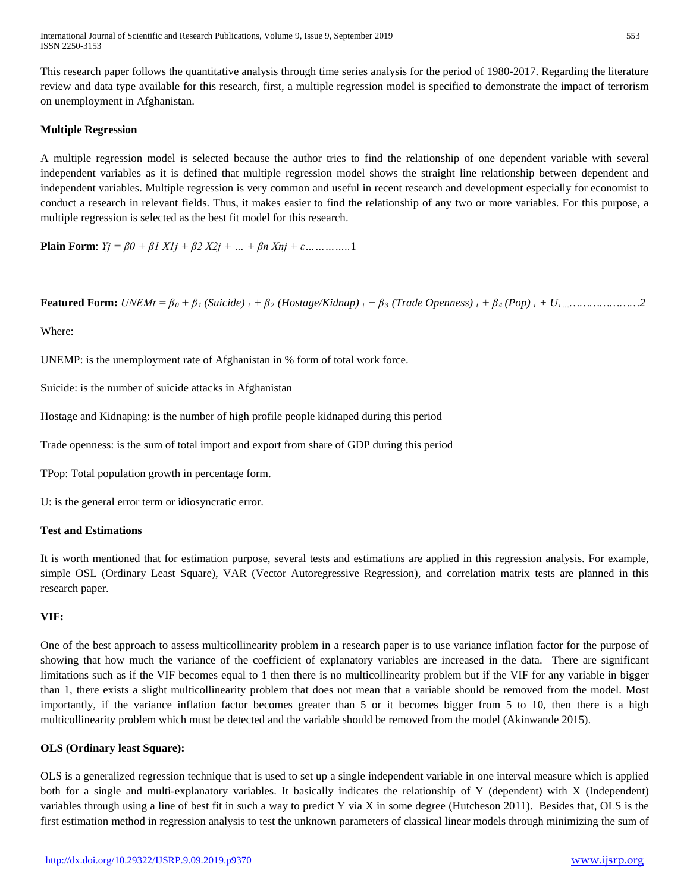International Journal of Scientific and Research Publications, Volume 9, Issue 9, September 2019 553 ISSN 2250-3153

This research paper follows the quantitative analysis through time series analysis for the period of 1980-2017. Regarding the literature review and data type available for this research, first, a multiple regression model is specified to demonstrate the impact of terrorism on unemployment in Afghanistan.

#### **Multiple Regression**

A multiple regression model is selected because the author tries to find the relationship of one dependent variable with several independent variables as it is defined that multiple regression model shows the straight line relationship between dependent and independent variables. Multiple regression is very common and useful in recent research and development especially for economist to conduct a research in relevant fields. Thus, it makes easier to find the relationship of any two or more variables. For this purpose, a multiple regression is selected as the best fit model for this research.

**Plain Form**:  $Yj = \beta 0 + \beta 1 X1j + \beta 2 X2j + ... + \beta n Xnj + \varepsilon ... ... ... ... 1$ 

**Featured Form:**  $\text{UNEMt} = \beta_0 + \beta_1 \text{ (Suicide)}_t + \beta_2 \text{ (Hostage/Kidnap)}_t + \beta_3 \text{ (Trade Openness)}_t + \beta_4 \text{ (Pop)}_t + U_i \text{ (Answer 1)}_t$ 

Where:

UNEMP: is the unemployment rate of Afghanistan in % form of total work force.

Suicide: is the number of suicide attacks in Afghanistan

Hostage and Kidnaping: is the number of high profile people kidnaped during this period

Trade openness: is the sum of total import and export from share of GDP during this period

TPop: Total population growth in percentage form.

U: is the general error term or idiosyncratic error.

#### **Test and Estimations**

It is worth mentioned that for estimation purpose, several tests and estimations are applied in this regression analysis. For example, simple OSL (Ordinary Least Square), VAR (Vector Autoregressive Regression), and correlation matrix tests are planned in this research paper.

#### **VIF:**

One of the best approach to assess multicollinearity problem in a research paper is to use variance inflation factor for the purpose of showing that how much the variance of the coefficient of explanatory variables are increased in the data. There are significant limitations such as if the VIF becomes equal to 1 then there is no multicollinearity problem but if the VIF for any variable in bigger than 1, there exists a slight multicollinearity problem that does not mean that a variable should be removed from the model. Most importantly, if the variance inflation factor becomes greater than 5 or it becomes bigger from 5 to 10, then there is a high multicollinearity problem which must be detected and the variable should be removed from the model (Akinwande 2015).

#### **OLS (Ordinary least Square):**

OLS is a generalized regression technique that is used to set up a single independent variable in one interval measure which is applied both for a single and multi-explanatory variables. It basically indicates the relationship of Y (dependent) with X (Independent) variables through using a line of best fit in such a way to predict Y via X in some degree (Hutcheson 2011). Besides that, OLS is the first estimation method in regression analysis to test the unknown parameters of classical linear models through minimizing the sum of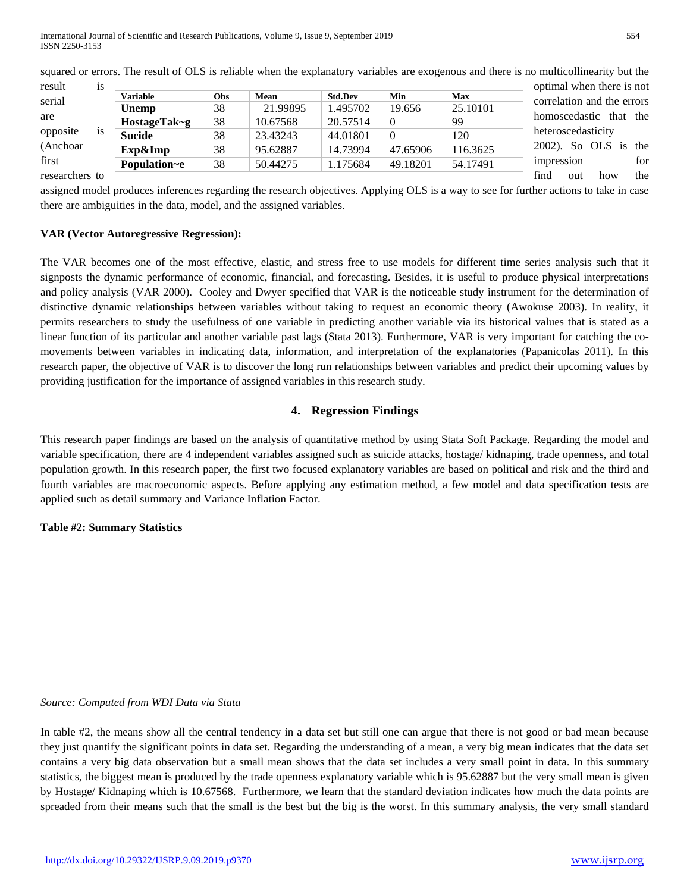| result         | 1S        |                 |     |          |                |          |            | optimal when there is not  |
|----------------|-----------|-----------------|-----|----------|----------------|----------|------------|----------------------------|
| serial         |           | <b>Variable</b> | Obs | Mean     | <b>Std.Dev</b> | Min      | <b>Max</b> | correlation and the errors |
|                |           | <b>Unemp</b>    | 38  | 21.99895 | 1.495702       | 19.656   | 25.10101   |                            |
| are            |           | $HostageTak-g$  | 38  | 10.67568 | 20.57514       | $\theta$ | 99         | homoscedastic that the     |
| opposite       | <b>1S</b> | Sucide          | 38  | 23.43243 | 44.01801       | $\Omega$ | 120        | heteroscedasticity         |
| (Anchoar)      |           | Exp&Imp         | 38  | 95.62887 | 14.73994       | 47.65906 | 116.3625   | 2002). So OLS is the       |
| first          |           | Population~e    | 38  | 50.44275 | 1.175684       | 49.18201 | 54.17491   | for<br>impression          |
| researchers to |           |                 |     |          |                |          |            | find<br>the<br>how<br>out  |

squared or errors. The result of OLS is reliable when the explanatory variables are exogenous and there is no multicollinearity but the

assigned model produces inferences regarding the research objectives. Applying OLS is a way to see for further actions to take in case there are ambiguities in the data, model, and the assigned variables.

#### **VAR (Vector Autoregressive Regression):**

The VAR becomes one of the most effective, elastic, and stress free to use models for different time series analysis such that it signposts the dynamic performance of economic, financial, and forecasting. Besides, it is useful to produce physical interpretations and policy analysis (VAR 2000). Cooley and Dwyer specified that VAR is the noticeable study instrument for the determination of distinctive dynamic relationships between variables without taking to request an economic theory (Awokuse 2003). In reality, it permits researchers to study the usefulness of one variable in predicting another variable via its historical values that is stated as a linear function of its particular and another variable past lags (Stata 2013). Furthermore, VAR is very important for catching the comovements between variables in indicating data, information, and interpretation of the explanatories (Papanicolas 2011). In this research paper, the objective of VAR is to discover the long run relationships between variables and predict their upcoming values by providing justification for the importance of assigned variables in this research study.

#### **4. Regression Findings**

This research paper findings are based on the analysis of quantitative method by using Stata Soft Package. Regarding the model and variable specification, there are 4 independent variables assigned such as suicide attacks, hostage/ kidnaping, trade openness, and total population growth. In this research paper, the first two focused explanatory variables are based on political and risk and the third and fourth variables are macroeconomic aspects. Before applying any estimation method, a few model and data specification tests are applied such as detail summary and Variance Inflation Factor.

#### **Table #2: Summary Statistics**

#### *Source: Computed from WDI Data via Stata*

In table #2, the means show all the central tendency in a data set but still one can argue that there is not good or bad mean because they just quantify the significant points in data set. Regarding the understanding of a mean, a very big mean indicates that the data set contains a very big data observation but a small mean shows that the data set includes a very small point in data. In this summary statistics, the biggest mean is produced by the trade openness explanatory variable which is 95.62887 but the very small mean is given by Hostage/ Kidnaping which is 10.67568. Furthermore, we learn that the standard deviation indicates how much the data points are spreaded from their means such that the small is the best but the big is the worst. In this summary analysis, the very small standard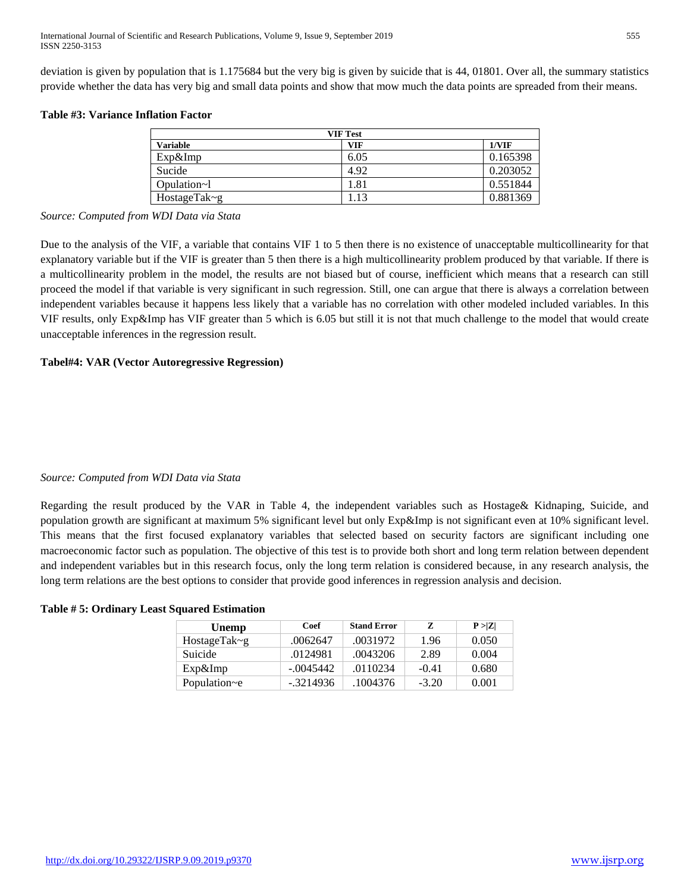deviation is given by population that is 1.175684 but the very big is given by suicide that is 44, 01801. Over all, the summary statistics provide whether the data has very big and small data points and show that mow much the data points are spreaded from their means.

#### **Table #3: Variance Inflation Factor**

| <b>VIF Test</b> |            |          |  |  |  |  |
|-----------------|------------|----------|--|--|--|--|
| <b>Variable</b> | <b>VIF</b> | 1/VIF    |  |  |  |  |
| Exp&Imp         | 6.05       | 0.165398 |  |  |  |  |
| Sucide          | 4.92       | 0.203052 |  |  |  |  |
| Opulation~1     | 1.81       | 0.551844 |  |  |  |  |
| HostageTak~g    | .13        | 0.881369 |  |  |  |  |

#### *Source: Computed from WDI Data via Stata*

Due to the analysis of the VIF, a variable that contains VIF 1 to 5 then there is no existence of unacceptable multicollinearity for that explanatory variable but if the VIF is greater than 5 then there is a high multicollinearity problem produced by that variable. If there is a multicollinearity problem in the model, the results are not biased but of course, inefficient which means that a research can still proceed the model if that variable is very significant in such regression. Still, one can argue that there is always a correlation between independent variables because it happens less likely that a variable has no correlation with other modeled included variables. In this VIF results, only Exp&Imp has VIF greater than 5 which is 6.05 but still it is not that much challenge to the model that would create unacceptable inferences in the regression result.

#### **Tabel#4: VAR (Vector Autoregressive Regression)**

#### *Source: Computed from WDI Data via Stata*

Regarding the result produced by the VAR in Table 4, the independent variables such as Hostage& Kidnaping, Suicide, and population growth are significant at maximum 5% significant level but only Exp&Imp is not significant even at 10% significant level. This means that the first focused explanatory variables that selected based on security factors are significant including one macroeconomic factor such as population. The objective of this test is to provide both short and long term relation between dependent and independent variables but in this research focus, only the long term relation is considered because, in any research analysis, the long term relations are the best options to consider that provide good inferences in regression analysis and decision.

#### **Table # 5: Ordinary Least Squared Estimation**

| Unemp        | Coef<br><b>Stand Error</b> |          | Z.      | P >  Z |  |
|--------------|----------------------------|----------|---------|--------|--|
| HostageTak~g | .0062647                   | .0031972 | 1.96    | 0.050  |  |
| Suicide      | .0124981                   | .0043206 | 2.89    | 0.004  |  |
| $Exp\&Imp$   | $-.0045442$                | .0110234 | $-0.41$ | 0.680  |  |
| Population~e | $-.3214936$                | 1004376  | $-3.20$ | 0.001  |  |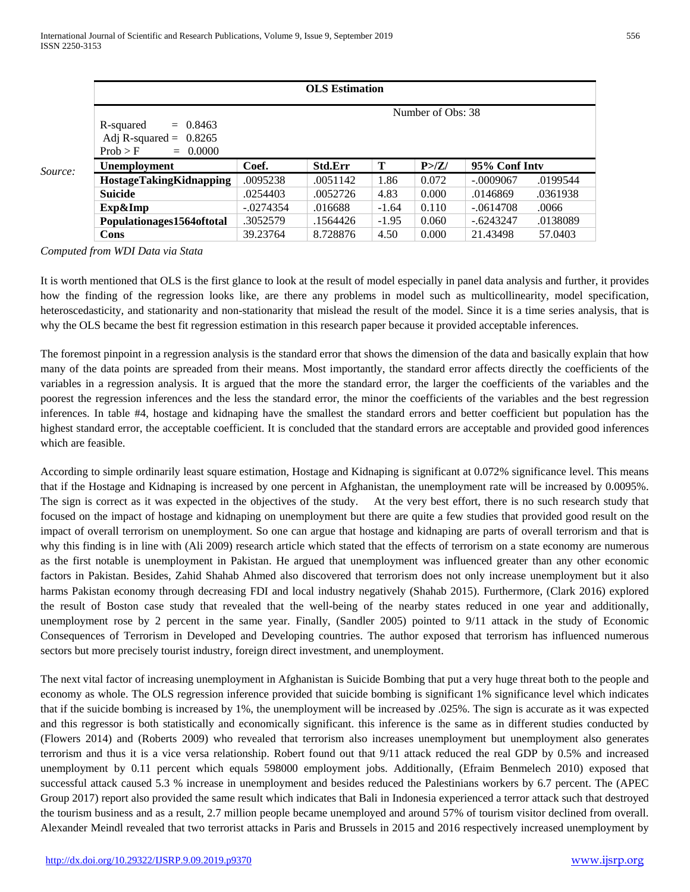|         | <b>OLS</b> Estimation                                                                              |             |                |         |       |               |          |  |  |  |
|---------|----------------------------------------------------------------------------------------------------|-------------|----------------|---------|-------|---------------|----------|--|--|--|
| Source: | Number of Obs: 38<br>$= 0.8463$<br>R-squared<br>Adj R-squared = $0.8265$<br>$= 0.0000$<br>Prob > F |             |                |         |       |               |          |  |  |  |
|         | <b>Unemployment</b>                                                                                | Coef.       | <b>Std.Err</b> | Т       | P > Z | 95% Conf Inty |          |  |  |  |
|         | <b>HostageTakingKidnapping</b>                                                                     | .0095238    | .0051142       | 1.86    | 0.072 | $-.0009067$   | .0199544 |  |  |  |
|         | <b>Suicide</b>                                                                                     | .0254403    | .0052726       | 4.83    | 0.000 | .0146869      | .0361938 |  |  |  |
|         | Exp&Imp                                                                                            | $-.0274354$ | .016688        | $-1.64$ | 0.110 | $-.0614708$   | .0066    |  |  |  |
|         | Populationages1564oftotal                                                                          | .3052579    | .1564426       | $-1.95$ | 0.060 | $-.6243247$   | .0138089 |  |  |  |
|         | Cons                                                                                               | 39.23764    | 8.728876       | 4.50    | 0.000 | 21.43498      | 57.0403  |  |  |  |

*Computed from WDI Data via Stata*

It is worth mentioned that OLS is the first glance to look at the result of model especially in panel data analysis and further, it provides how the finding of the regression looks like, are there any problems in model such as multicollinearity, model specification, heteroscedasticity, and stationarity and non-stationarity that mislead the result of the model. Since it is a time series analysis, that is why the OLS became the best fit regression estimation in this research paper because it provided acceptable inferences.

The foremost pinpoint in a regression analysis is the standard error that shows the dimension of the data and basically explain that how many of the data points are spreaded from their means. Most importantly, the standard error affects directly the coefficients of the variables in a regression analysis. It is argued that the more the standard error, the larger the coefficients of the variables and the poorest the regression inferences and the less the standard error, the minor the coefficients of the variables and the best regression inferences. In table #4, hostage and kidnaping have the smallest the standard errors and better coefficient but population has the highest standard error, the acceptable coefficient. It is concluded that the standard errors are acceptable and provided good inferences which are feasible.

According to simple ordinarily least square estimation, Hostage and Kidnaping is significant at 0.072% significance level. This means that if the Hostage and Kidnaping is increased by one percent in Afghanistan, the unemployment rate will be increased by 0.0095%. The sign is correct as it was expected in the objectives of the study. At the very best effort, there is no such research study that focused on the impact of hostage and kidnaping on unemployment but there are quite a few studies that provided good result on the impact of overall terrorism on unemployment. So one can argue that hostage and kidnaping are parts of overall terrorism and that is why this finding is in line with (Ali 2009) research article which stated that the effects of terrorism on a state economy are numerous as the first notable is unemployment in Pakistan. He argued that unemployment was influenced greater than any other economic factors in Pakistan. Besides, Zahid Shahab Ahmed also discovered that terrorism does not only increase unemployment but it also harms Pakistan economy through decreasing FDI and local industry negatively (Shahab 2015). Furthermore, (Clark 2016) explored the result of Boston case study that revealed that the well-being of the nearby states reduced in one year and additionally, unemployment rose by 2 percent in the same year. Finally, (Sandler 2005) pointed to 9/11 attack in the study of Economic Consequences of Terrorism in Developed and Developing countries. The author exposed that terrorism has influenced numerous sectors but more precisely tourist industry, foreign direct investment, and unemployment.

The next vital factor of increasing unemployment in Afghanistan is Suicide Bombing that put a very huge threat both to the people and economy as whole. The OLS regression inference provided that suicide bombing is significant 1% significance level which indicates that if the suicide bombing is increased by 1%, the unemployment will be increased by .025%. The sign is accurate as it was expected and this regressor is both statistically and economically significant. this inference is the same as in different studies conducted by (Flowers 2014) and (Roberts 2009) who revealed that terrorism also increases unemployment but unemployment also generates terrorism and thus it is a vice versa relationship. Robert found out that 9/11 attack reduced the real GDP by 0.5% and increased unemployment by 0.11 percent which equals 598000 employment jobs. Additionally, (Efraim Benmelech 2010) exposed that successful attack caused 5.3 % increase in unemployment and besides reduced the Palestinians workers by 6.7 percent. The (APEC Group 2017) report also provided the same result which indicates that Bali in Indonesia experienced a terror attack such that destroyed the tourism business and as a result, 2.7 million people became unemployed and around 57% of tourism visitor declined from overall. Alexander Meindl revealed that two terrorist attacks in Paris and Brussels in 2015 and 2016 respectively increased unemployment by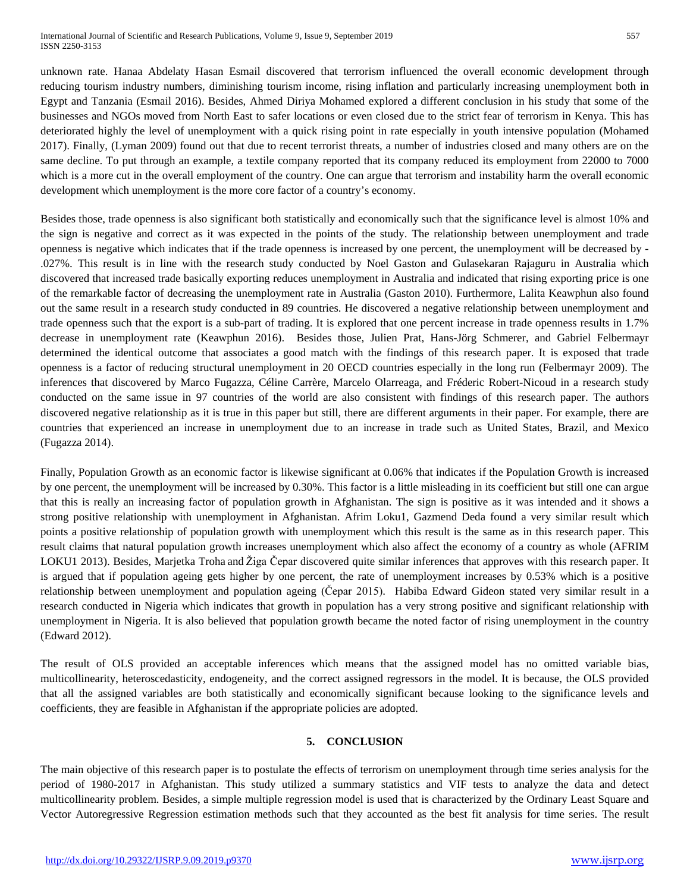unknown rate. Hanaa Abdelaty Hasan Esmail discovered that terrorism influenced the overall economic development through reducing tourism industry numbers, diminishing tourism income, rising inflation and particularly increasing unemployment both in Egypt and Tanzania (Esmail 2016). Besides, Ahmed Diriya Mohamed explored a different conclusion in his study that some of the businesses and NGOs moved from North East to safer locations or even closed due to the strict fear of terrorism in Kenya. This has deteriorated highly the level of unemployment with a quick rising point in rate especially in youth intensive population (Mohamed 2017). Finally, (Lyman 2009) found out that due to recent terrorist threats, a number of industries closed and many others are on the same decline. To put through an example, a textile company reported that its company reduced its employment from 22000 to 7000 which is a more cut in the overall employment of the country. One can argue that terrorism and instability harm the overall economic development which unemployment is the more core factor of a country's economy.

Besides those, trade openness is also significant both statistically and economically such that the significance level is almost 10% and the sign is negative and correct as it was expected in the points of the study. The relationship between unemployment and trade openness is negative which indicates that if the trade openness is increased by one percent, the unemployment will be decreased by - .027%. This result is in line with the research study conducted by Noel Gaston and Gulasekaran Rajaguru in Australia which discovered that increased trade basically exporting reduces unemployment in Australia and indicated that rising exporting price is one of the remarkable factor of decreasing the unemployment rate in Australia (Gaston 2010). Furthermore, Lalita Keawphun also found out the same result in a research study conducted in 89 countries. He discovered a negative relationship between unemployment and trade openness such that the export is a sub-part of trading. It is explored that one percent increase in trade openness results in 1.7% decrease in unemployment rate (Keawphun 2016). Besides those, Julien Prat, Hans-Jörg Schmerer, and Gabriel Felbermayr determined the identical outcome that associates a good match with the findings of this research paper. It is exposed that trade openness is a factor of reducing structural unemployment in 20 OECD countries especially in the long run (Felbermayr 2009). The inferences that discovered by Marco Fugazza, Céline Carrère, Marcelo Olarreaga, and Fréderic Robert-Nicoud in a research study conducted on the same issue in 97 countries of the world are also consistent with findings of this research paper. The authors discovered negative relationship as it is true in this paper but still, there are different arguments in their paper. For example, there are countries that experienced an increase in unemployment due to an increase in trade such as United States, Brazil, and Mexico (Fugazza 2014).

Finally, Population Growth as an economic factor is likewise significant at 0.06% that indicates if the Population Growth is increased by one percent, the unemployment will be increased by 0.30%. This factor is a little misleading in its coefficient but still one can argue that this is really an increasing factor of population growth in Afghanistan. The sign is positive as it was intended and it shows a strong positive relationship with unemployment in Afghanistan. Afrim Loku1, Gazmend Deda found a very similar result which points a positive relationship of population growth with unemployment which this result is the same as in this research paper. This result claims that natural population growth increases unemployment which also affect the economy of a country as whole (AFRIM LOKU1 2013). Besides, Marjetka Troha and Žiga Čepar discovered quite similar inferences that approves with this research paper. It is argued that if population ageing gets higher by one percent, the rate of unemployment increases by 0.53% which is a positive relationship between unemployment and population ageing (Čepar 2015). Habiba Edward Gideon stated very similar result in a research conducted in Nigeria which indicates that growth in population has a very strong positive and significant relationship with unemployment in Nigeria. It is also believed that population growth became the noted factor of rising unemployment in the country (Edward 2012).

The result of OLS provided an acceptable inferences which means that the assigned model has no omitted variable bias, multicollinearity, heteroscedasticity, endogeneity, and the correct assigned regressors in the model. It is because, the OLS provided that all the assigned variables are both statistically and economically significant because looking to the significance levels and coefficients, they are feasible in Afghanistan if the appropriate policies are adopted.

#### **5. CONCLUSION**

The main objective of this research paper is to postulate the effects of terrorism on unemployment through time series analysis for the period of 1980-2017 in Afghanistan. This study utilized a summary statistics and VIF tests to analyze the data and detect multicollinearity problem. Besides, a simple multiple regression model is used that is characterized by the Ordinary Least Square and Vector Autoregressive Regression estimation methods such that they accounted as the best fit analysis for time series. The result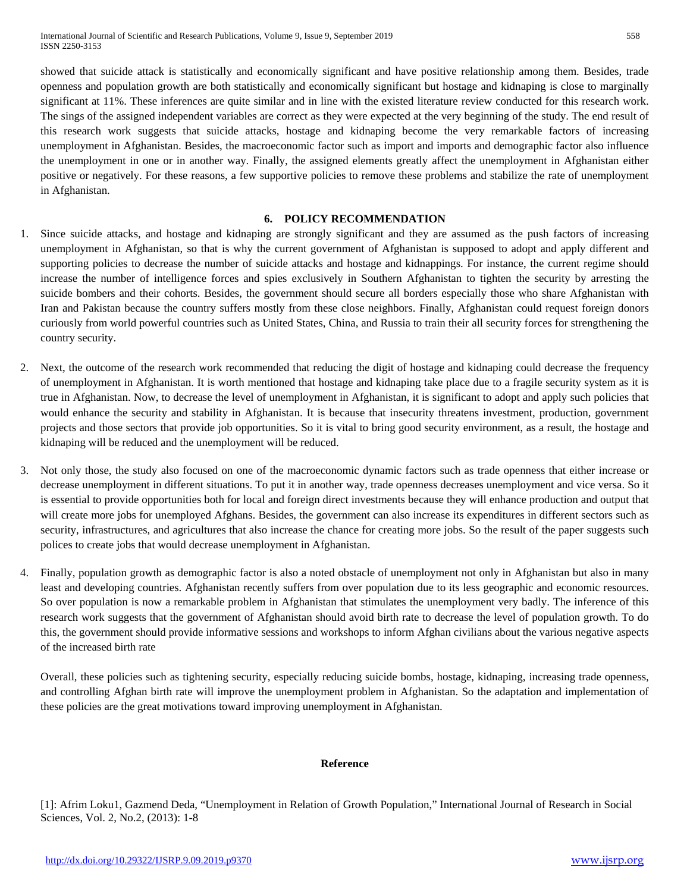showed that suicide attack is statistically and economically significant and have positive relationship among them. Besides, trade openness and population growth are both statistically and economically significant but hostage and kidnaping is close to marginally significant at 11%. These inferences are quite similar and in line with the existed literature review conducted for this research work. The sings of the assigned independent variables are correct as they were expected at the very beginning of the study. The end result of this research work suggests that suicide attacks, hostage and kidnaping become the very remarkable factors of increasing unemployment in Afghanistan. Besides, the macroeconomic factor such as import and imports and demographic factor also influence the unemployment in one or in another way. Finally, the assigned elements greatly affect the unemployment in Afghanistan either positive or negatively. For these reasons, a few supportive policies to remove these problems and stabilize the rate of unemployment in Afghanistan.

#### **6. POLICY RECOMMENDATION**

- 1. Since suicide attacks, and hostage and kidnaping are strongly significant and they are assumed as the push factors of increasing unemployment in Afghanistan, so that is why the current government of Afghanistan is supposed to adopt and apply different and supporting policies to decrease the number of suicide attacks and hostage and kidnappings. For instance, the current regime should increase the number of intelligence forces and spies exclusively in Southern Afghanistan to tighten the security by arresting the suicide bombers and their cohorts. Besides, the government should secure all borders especially those who share Afghanistan with Iran and Pakistan because the country suffers mostly from these close neighbors. Finally, Afghanistan could request foreign donors curiously from world powerful countries such as United States, China, and Russia to train their all security forces for strengthening the country security.
- 2. Next, the outcome of the research work recommended that reducing the digit of hostage and kidnaping could decrease the frequency of unemployment in Afghanistan. It is worth mentioned that hostage and kidnaping take place due to a fragile security system as it is true in Afghanistan. Now, to decrease the level of unemployment in Afghanistan, it is significant to adopt and apply such policies that would enhance the security and stability in Afghanistan. It is because that insecurity threatens investment, production, government projects and those sectors that provide job opportunities. So it is vital to bring good security environment, as a result, the hostage and kidnaping will be reduced and the unemployment will be reduced.
- 3. Not only those, the study also focused on one of the macroeconomic dynamic factors such as trade openness that either increase or decrease unemployment in different situations. To put it in another way, trade openness decreases unemployment and vice versa. So it is essential to provide opportunities both for local and foreign direct investments because they will enhance production and output that will create more jobs for unemployed Afghans. Besides, the government can also increase its expenditures in different sectors such as security, infrastructures, and agricultures that also increase the chance for creating more jobs. So the result of the paper suggests such polices to create jobs that would decrease unemployment in Afghanistan.
- 4. Finally, population growth as demographic factor is also a noted obstacle of unemployment not only in Afghanistan but also in many least and developing countries. Afghanistan recently suffers from over population due to its less geographic and economic resources. So over population is now a remarkable problem in Afghanistan that stimulates the unemployment very badly. The inference of this research work suggests that the government of Afghanistan should avoid birth rate to decrease the level of population growth. To do this, the government should provide informative sessions and workshops to inform Afghan civilians about the various negative aspects of the increased birth rate

Overall, these policies such as tightening security, especially reducing suicide bombs, hostage, kidnaping, increasing trade openness, and controlling Afghan birth rate will improve the unemployment problem in Afghanistan. So the adaptation and implementation of these policies are the great motivations toward improving unemployment in Afghanistan.

#### **Reference**

[1]: Afrim Loku1, Gazmend Deda, "Unemployment in Relation of Growth Population," International Journal of Research in Social Sciences, Vol. 2, No.2, (2013): 1-8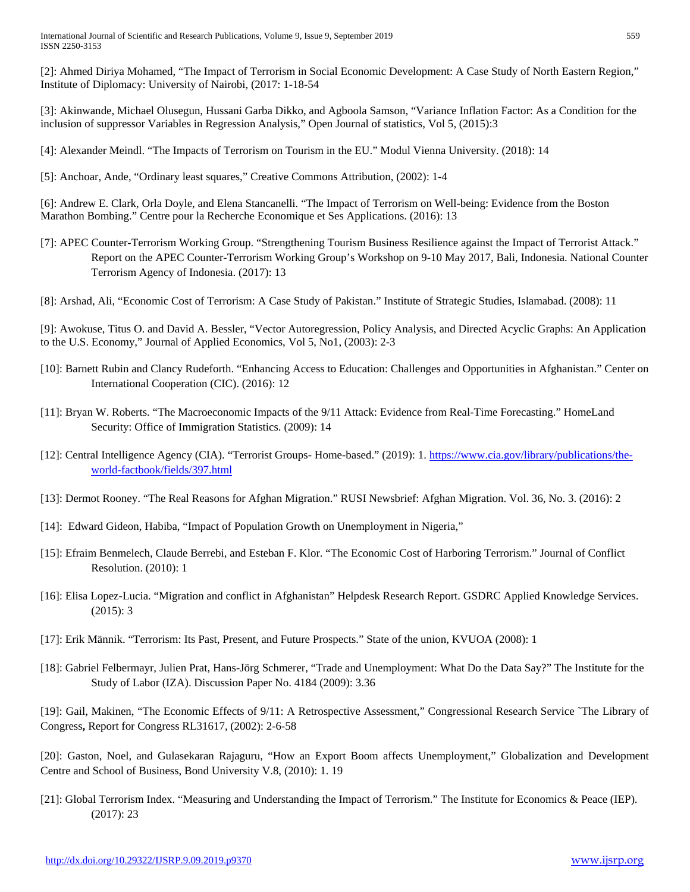[2]: Ahmed Diriya Mohamed, "The Impact of Terrorism in Social Economic Development: A Case Study of North Eastern Region," Institute of Diplomacy: University of Nairobi, (2017: 1-18-54

[3]: Akinwande, Michael Olusegun, Hussani Garba Dikko, and Agboola Samson, "Variance Inflation Factor: As a Condition for the inclusion of suppressor Variables in Regression Analysis," Open Journal of statistics, Vol 5, (2015):3

[4]: Alexander Meindl. "The Impacts of Terrorism on Tourism in the EU." Modul Vienna University. (2018): 14

[5]: Anchoar, Ande, "Ordinary least squares," Creative Commons Attribution, (2002): 1-4

[6]: Andrew E. Clark, Orla Doyle, and Elena Stancanelli. "The Impact of Terrorism on Well-being: Evidence from the Boston Marathon Bombing." Centre pour la Recherche Economique et Ses Applications. (2016): 13

[7]: APEC Counter-Terrorism Working Group. "Strengthening Tourism Business Resilience against the Impact of Terrorist Attack." Report on the APEC Counter-Terrorism Working Group's Workshop on 9-10 May 2017, Bali, Indonesia. National Counter Terrorism Agency of Indonesia. (2017): 13

[8]: Arshad, Ali, "Economic Cost of Terrorism: A Case Study of Pakistan." Institute of Strategic Studies, Islamabad. (2008): 11

[9]: Awokuse, Titus O. and David A. Bessler, "Vector Autoregression, Policy Analysis, and Directed Acyclic Graphs: An Application to the U.S. Economy," Journal of Applied Economics, Vol 5, No1, (2003): 2-3

- [10]: Barnett Rubin and Clancy Rudeforth. "Enhancing Access to Education: Challenges and Opportunities in Afghanistan." Center on International Cooperation (CIC). (2016): 12
- [11]: Bryan W. Roberts. "The Macroeconomic Impacts of the 9/11 Attack: Evidence from Real-Time Forecasting." HomeLand Security: Office of Immigration Statistics. (2009): 14
- [12]: Central Intelligence Agency (CIA). "Terrorist Groups- Home-based." (2019): 1. [https://www.cia.gov/library/publications/the](https://www.cia.gov/library/publications/the-world-factbook/fields/397.html)[world-factbook/fields/397.html](https://www.cia.gov/library/publications/the-world-factbook/fields/397.html)
- [13]: Dermot Rooney. "The Real Reasons for Afghan Migration." RUSI Newsbrief: Afghan Migration. Vol. 36, No. 3. (2016): 2
- [14]: Edward Gideon, Habiba, "Impact of Population Growth on Unemployment in Nigeria,"
- [15]: Efraim Benmelech, Claude Berrebi, and Esteban F. Klor. "The Economic Cost of Harboring Terrorism." Journal of Conflict Resolution. (2010): 1
- [16]: Elisa Lopez-Lucia. "Migration and conflict in Afghanistan" Helpdesk Research Report. GSDRC Applied Knowledge Services. (2015): 3
- [17]: Erik Männik. "Terrorism: Its Past, Present, and Future Prospects." State of the union, KVUOA (2008): 1
- [18]: Gabriel Felbermayr, Julien Prat, Hans-Jörg Schmerer, "Trade and Unemployment: What Do the Data Say?" The Institute for the Study of Labor (IZA). Discussion Paper No. 4184 (2009): 3.36

[19]: Gail, Makinen, "The Economic Effects of 9/11: A Retrospective Assessment," Congressional Research Service ˜The Library of Congress**,** Report for Congress RL31617, (2002): 2-6-58

[20]: Gaston, Noel, and Gulasekaran Rajaguru, "How an Export Boom affects Unemployment," Globalization and Development Centre and School of Business, Bond University V.8, (2010): 1. 19

[21]: Global Terrorism Index. "Measuring and Understanding the Impact of Terrorism." The Institute for Economics & Peace (IEP). (2017): 23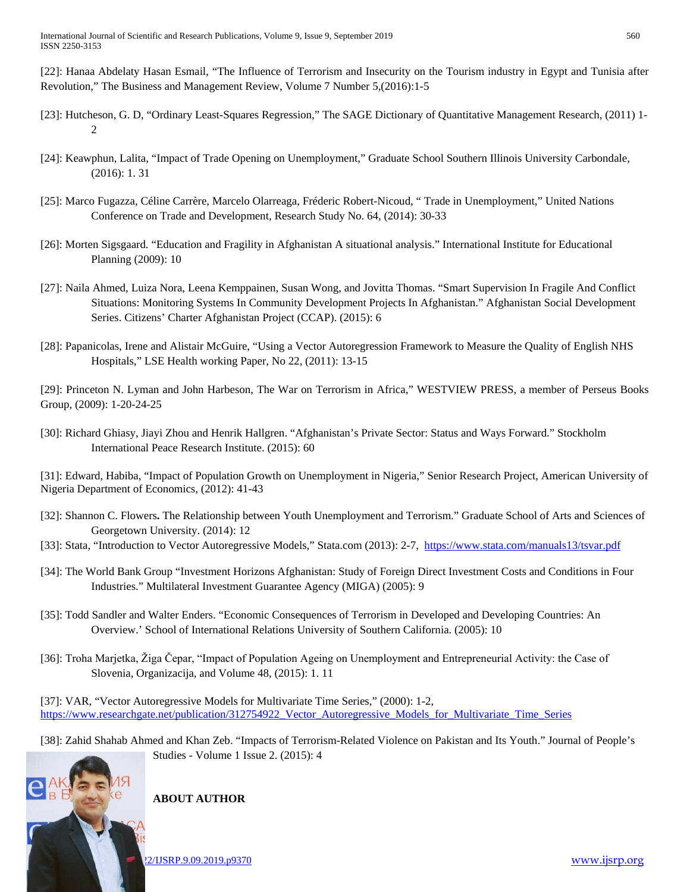[22]: Hanaa Abdelaty Hasan Esmail, "The Influence of Terrorism and Insecurity on the Tourism industry in Egypt and Tunisia after Revolution," The Business and Management Review, Volume 7 Number 5,(2016):1-5

- [23]: Hutcheson, G. D, "Ordinary Least-Squares Regression," The SAGE Dictionary of Quantitative Management Research, (2011) 1- 2
- [24]: Keawphun, Lalita, "Impact of Trade Opening on Unemployment," Graduate School Southern Illinois University Carbondale, (2016): 1. 31
- [25]: Marco Fugazza, Céline Carrère, Marcelo Olarreaga, Fréderic Robert-Nicoud, " Trade in Unemployment," United Nations Conference on Trade and Development, Research Study No. 64, (2014): 30-33
- [26]: Morten Sigsgaard. "Education and Fragility in Afghanistan A situational analysis." International Institute for Educational Planning (2009): 10
- [27]: Naila Ahmed, Luiza Nora, Leena Kemppainen, Susan Wong, and Jovitta Thomas. "Smart Supervision In Fragile And Conflict Situations: Monitoring Systems In Community Development Projects In Afghanistan." Afghanistan Social Development Series. Citizens' Charter Afghanistan Project (CCAP). (2015): 6
- [28]: Papanicolas, Irene and Alistair McGuire, "Using a Vector Autoregression Framework to Measure the Quality of English NHS Hospitals," LSE Health working Paper, No 22, (2011): 13-15

[29]: Princeton N. Lyman and John Harbeson, The War on Terrorism in Africa," WESTVIEW PRESS, a member of Perseus Books Group, (2009): 1-20-24-25

[30]: Richard Ghiasy, Jiayi Zhou and Henrik Hallgren. "Afghanistan's Private Sector: Status and Ways Forward." Stockholm International Peace Research Institute. (2015): 60

[31]: Edward, Habiba, "Impact of Population Growth on Unemployment in Nigeria," Senior Research Project, American University of Nigeria Department of Economics, (2012): 41-43

- [32]: Shannon C. Flowers**.** The Relationship between Youth Unemployment and Terrorism." Graduate School of Arts and Sciences of Georgetown University. (2014): 12
- [33]: Stata, "Introduction to Vector Autoregressive Models," Stata.com (2013): 2-7,<https://www.stata.com/manuals13/tsvar.pdf>
- [34]: The World Bank Group "Investment Horizons Afghanistan: Study of Foreign Direct Investment Costs and Conditions in Four Industries." Multilateral Investment Guarantee Agency (MIGA) (2005): 9
- [35]: Todd Sandler and Walter Enders. "Economic Consequences of Terrorism in Developed and Developing Countries: An Overview.' School of International Relations University of Southern California. (2005): 10
- [36]: Troha Marjetka, Žiga Čepar, "Impact of Population Ageing on Unemployment and Entrepreneurial Activity: the Case of Slovenia, Organizacija, and Volume 48, (2015): 1. 11

[37]: VAR, "Vector Autoregressive Models for Multivariate Time Series," (2000): 1-2, [https://www.researchgate.net/publication/312754922\\_Vector\\_Autoregressive\\_Models\\_for\\_Multivariate\\_Time\\_Series](https://www.researchgate.net/publication/312754922_Vector_Autoregressive_Models_for_Multivariate_Time_Series)

[38]: Zahid Shahab Ahmed and Khan Zeb. "Impacts of Terrorism-Related Violence on Pakistan and Its Youth." Journal of People's Studies - Volume 1 Issue 2. (2015): 4

# <http://dx.doi.org/10.29322/IJSRP.9.09.2019.p9370> [www.ijsrp.org](http://ijsrp.org/)

# **ABOUT AUTHOR**